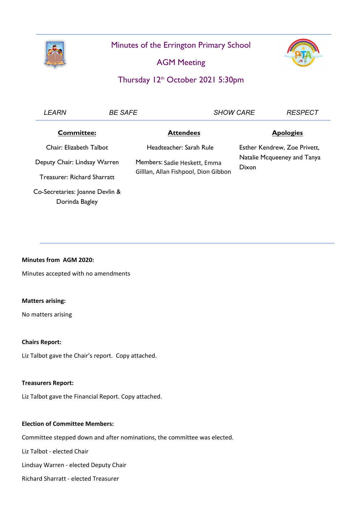

Minutes of the Errington Primary School

AGM Meeting



# Thursday 12<sup>th</sup> October 2021 5:30pm

| <b>LEARN</b>                       | <b>BE SAFE</b> |                                                                      | <b>SHOW CARE</b>                                                     |                  |
|------------------------------------|----------------|----------------------------------------------------------------------|----------------------------------------------------------------------|------------------|
| <b>Committee:</b>                  |                | <b>Attendees</b>                                                     |                                                                      | <b>Apologies</b> |
| Chair: Elizabeth Talbot            |                | Headteacher: Sarah Rule                                              | Esther Kendrew, Zoe Privett,<br>Natalie Mcqueeney and Tanya<br>Dixon |                  |
| Deputy Chair: Lindsay Warren       |                | Members: Sadie Heskett, Emma<br>Gilllan, Allan Fishpool, Dion Gibbon |                                                                      |                  |
|                                    |                |                                                                      |                                                                      |                  |
| <b>Treasurer: Richard Sharratt</b> |                |                                                                      |                                                                      |                  |
| Co-Secretaries: Joanne Devlin &    |                |                                                                      |                                                                      |                  |
| Dorinda Bagley                     |                |                                                                      |                                                                      |                  |

## **Minutes from AGM 2020:**

Minutes accepted with no amendments

#### **Matters arising:**

No matters arising

#### **Chairs Report:**

Liz Talbot gave the Chair's report. Copy attached.

#### **Treasurers Report:**

Liz Talbot gave the Financial Report. Copy attached.

#### **Election of Committee Members:**

Committee stepped down and after nominations, the committee was elected.

Liz Talbot - elected Chair

Lindsay Warren - elected Deputy Chair

Richard Sharratt - elected Treasurer